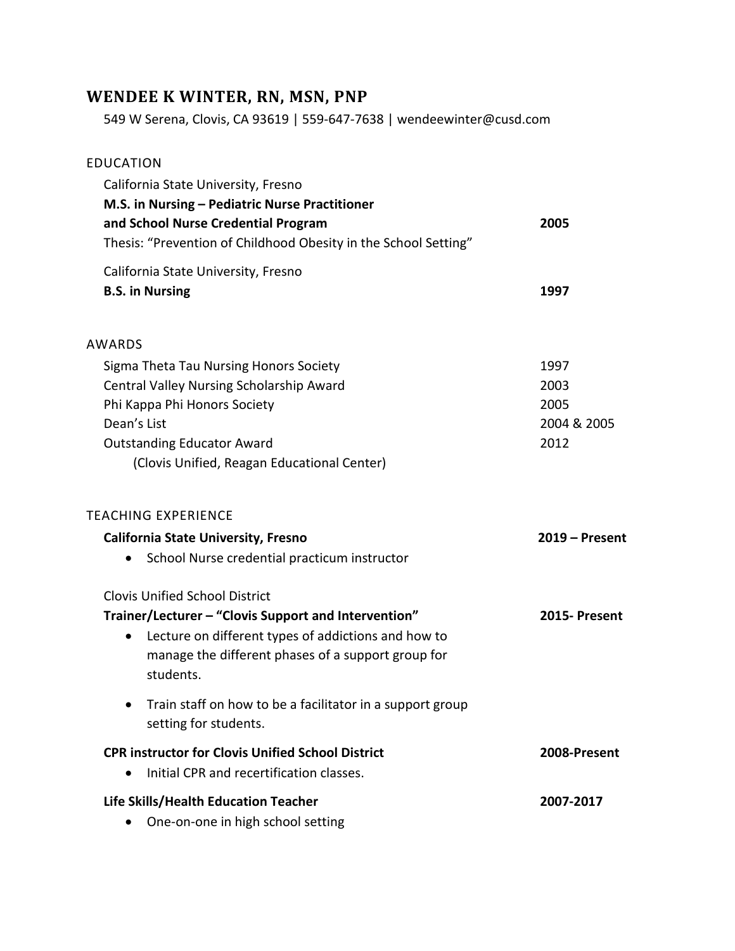# **WENDEE K WINTER, RN, MSN, PNP**

549 W Serena, Clovis, CA 93619 | 559-647-7638 | wendeewinter@cusd.com

| <b>EDUCATION</b>                                                |                  |
|-----------------------------------------------------------------|------------------|
| California State University, Fresno                             |                  |
| M.S. in Nursing - Pediatric Nurse Practitioner                  |                  |
| and School Nurse Credential Program                             | 2005             |
| Thesis: "Prevention of Childhood Obesity in the School Setting" |                  |
| California State University, Fresno                             |                  |
| <b>B.S. in Nursing</b>                                          | 1997             |
|                                                                 |                  |
| AWARDS                                                          |                  |
| Sigma Theta Tau Nursing Honors Society                          | 1997             |
| Central Valley Nursing Scholarship Award                        | 2003             |
| Phi Kappa Phi Honors Society                                    | 2005             |
| Dean's List                                                     | 2004 & 2005      |
| <b>Outstanding Educator Award</b>                               | 2012             |
| (Clovis Unified, Reagan Educational Center)                     |                  |
|                                                                 |                  |
| <b>TEACHING EXPERIENCE</b>                                      |                  |
| <b>California State University, Fresno</b>                      | $2019$ – Present |
| School Nurse credential practicum instructor<br>$\bullet$       |                  |
| <b>Clovis Unified School District</b>                           |                  |
| Trainer/Lecturer - "Clovis Support and Intervention"            | 2015- Present    |
| Lecture on different types of addictions and how to<br>٠        |                  |
| manage the different phases of a support group for              |                  |
| students.                                                       |                  |
| Train staff on how to be a facilitator in a support group       |                  |
| setting for students.                                           |                  |
| <b>CPR instructor for Clovis Unified School District</b>        | 2008-Present     |
| Initial CPR and recertification classes.                        |                  |
| Life Skills/Health Education Teacher                            | 2007-2017        |
| One-on-one in high school setting                               |                  |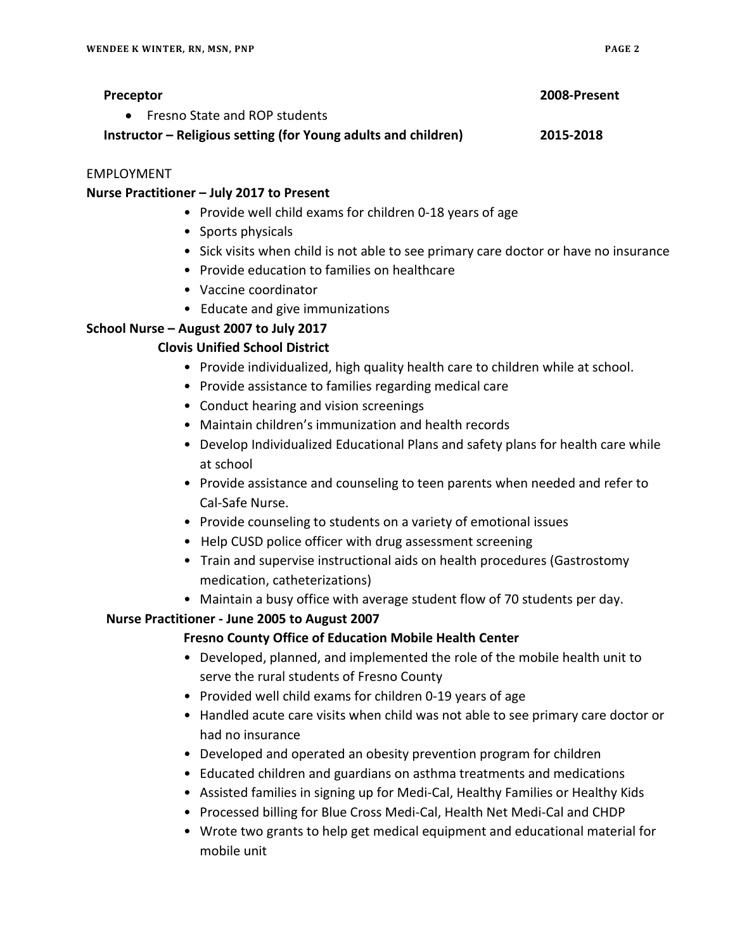#### EMPLOYMENT

#### **Nurse Practitioner – July 2017 to Present**

- Provide well child exams for children 0-18 years of age
- Sports physicals
- Sick visits when child is not able to see primary care doctor or have no insurance
- Provide education to families on healthcare
- Vaccine coordinator
- Educate and give immunizations

# **School Nurse – August 2007 to July 2017**

# **Clovis Unified School District**

- Provide individualized, high quality health care to children while at school.
- Provide assistance to families regarding medical care
- Conduct hearing and vision screenings
- Maintain children's immunization and health records
- Develop Individualized Educational Plans and safety plans for health care while at school
- Provide assistance and counseling to teen parents when needed and refer to Cal-Safe Nurse.
- Provide counseling to students on a variety of emotional issues
- Help CUSD police officer with drug assessment screening
- Train and supervise instructional aids on health procedures (Gastrostomy medication, catheterizations)
- Maintain a busy office with average student flow of 70 students per day.

## **Nurse Practitioner - June 2005 to August 2007**

## **Fresno County Office of Education Mobile Health Center**

- Developed, planned, and implemented the role of the mobile health unit to serve the rural students of Fresno County
- Provided well child exams for children 0-19 years of age
- Handled acute care visits when child was not able to see primary care doctor or had no insurance
- Developed and operated an obesity prevention program for children
- Educated children and guardians on asthma treatments and medications
- Assisted families in signing up for Medi-Cal, Healthy Families or Healthy Kids
- Processed billing for Blue Cross Medi-Cal, Health Net Medi-Cal and CHDP
- Wrote two grants to help get medical equipment and educational material for mobile unit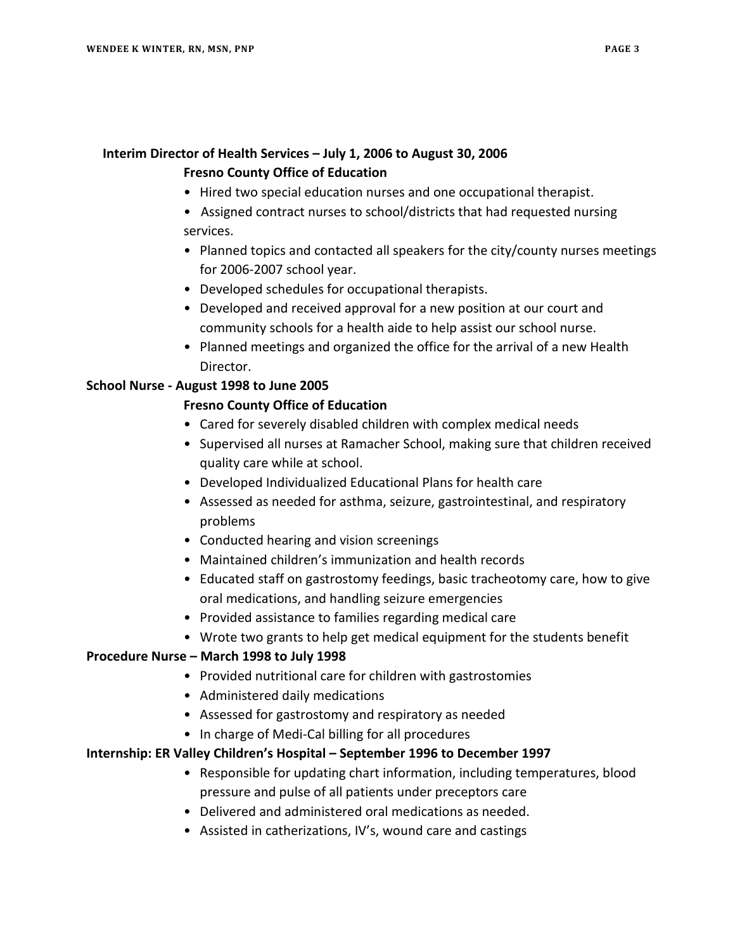## **Interim Director of Health Services – July 1, 2006 to August 30, 2006**

#### **Fresno County Office of Education**

- Hired two special education nurses and one occupational therapist.
- •Assigned contract nurses to school/districts that had requested nursing services.
- Planned topics and contacted all speakers for the city/county nurses meetings for 2006-2007 school year.
- Developed schedules for occupational therapists.
- Developed and received approval for a new position at our court and community schools for a health aide to help assist our school nurse.
- Planned meetings and organized the office for the arrival of a new Health Director.

## **School Nurse - August 1998 to June 2005**

## **Fresno County Office of Education**

- Cared for severely disabled children with complex medical needs
- Supervised all nurses at Ramacher School, making sure that children received quality care while at school.
- Developed Individualized Educational Plans for health care
- Assessed as needed for asthma, seizure, gastrointestinal, and respiratory problems
- Conducted hearing and vision screenings
- Maintained children's immunization and health records
- Educated staff on gastrostomy feedings, basic tracheotomy care, how to give oral medications, and handling seizure emergencies
- Provided assistance to families regarding medical care
- Wrote two grants to help get medical equipment for the students benefit

## **Procedure Nurse – March 1998 to July 1998**

- Provided nutritional care for children with gastrostomies
- Administered daily medications
- Assessed for gastrostomy and respiratory as needed
- In charge of Medi-Cal billing for all procedures

## **Internship: ER Valley Children's Hospital – September 1996 to December 1997**

- Responsible for updating chart information, including temperatures, blood pressure and pulse of all patients under preceptors care
- Delivered and administered oral medications as needed.
- Assisted in catherizations, IV's, wound care and castings